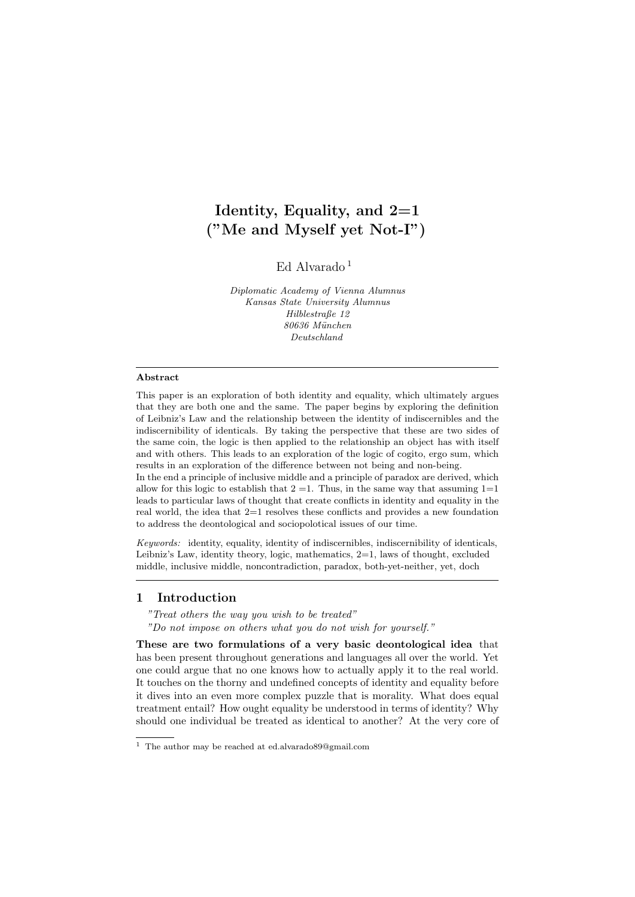# Identity, Equality, and  $2=1$ ("Me and Myself yet Not-I")

Ed Alvarado<sup>[1](#page-0-0)</sup>

Diplomatic Academy of Vienna Alumnus Kansas State University Alumnus Hilblestraße 12 80636 München Deutschland

### Abstract

This paper is an exploration of both identity and equality, which ultimately argues that they are both one and the same. The paper begins by exploring the definition of Leibniz's Law and the relationship between the identity of indiscernibles and the indiscernibility of identicals. By taking the perspective that these are two sides of the same coin, the logic is then applied to the relationship an object has with itself and with others. This leads to an exploration of the logic of cogito, ergo sum, which results in an exploration of the difference between not being and non-being.

In the end a principle of inclusive middle and a principle of paradox are derived, which allow for this logic to establish that  $2 = 1$ . Thus, in the same way that assuming  $1 = 1$ leads to particular laws of thought that create conflicts in identity and equality in the real world, the idea that 2=1 resolves these conflicts and provides a new foundation to address the deontological and sociopolotical issues of our time.

Keywords: identity, equality, identity of indiscernibles, indiscernibility of identicals, Leibniz's Law, identity theory, logic, mathematics, 2=1, laws of thought, excluded middle, inclusive middle, noncontradiction, paradox, both-yet-neither, yet, doch

# 1 Introduction

"Treat others the way you wish to be treated"

"Do not impose on others what you do not wish for yourself."

These are two formulations of a very basic deontological idea that has been present throughout generations and languages all over the world. Yet one could argue that no one knows how to actually apply it to the real world. It touches on the thorny and undefined concepts of identity and equality before it dives into an even more complex puzzle that is morality. What does equal treatment entail? How ought equality be understood in terms of identity? Why should one individual be treated as identical to another? At the very core of

<span id="page-0-0"></span> $^{\rm 1}$  The author may be reached at ed.alvarado89@gmail.com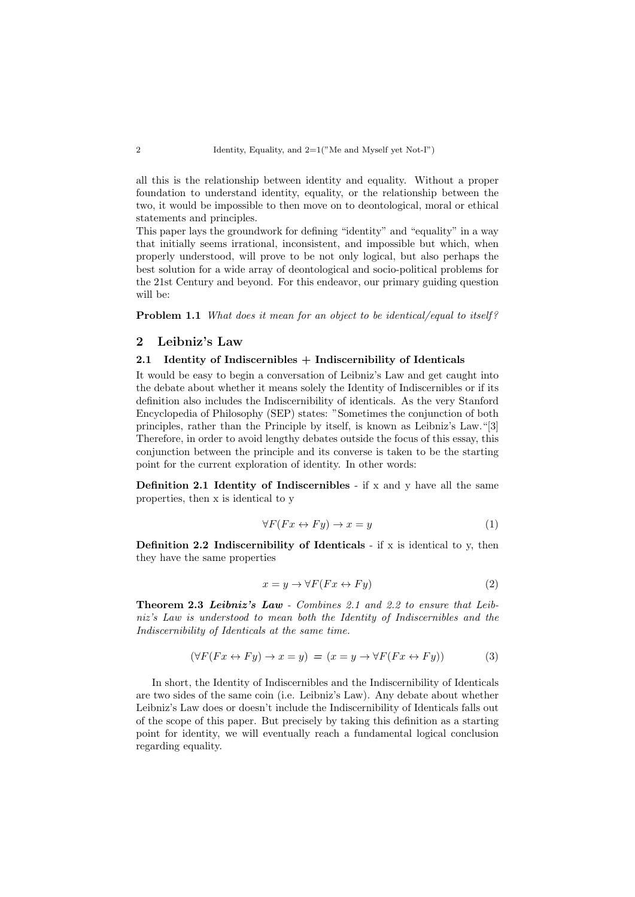all this is the relationship between identity and equality. Without a proper foundation to understand identity, equality, or the relationship between the two, it would be impossible to then move on to deontological, moral or ethical statements and principles.

This paper lays the groundwork for defining "identity" and "equality" in a way that initially seems irrational, inconsistent, and impossible but which, when properly understood, will prove to be not only logical, but also perhaps the best solution for a wide array of deontological and socio-political problems for the 21st Century and beyond. For this endeavor, our primary guiding question will be:

Problem 1.1 What does it mean for an object to be identical/equal to itself?

### 2 Leibniz's Law

# 2.1 Identity of Indiscernibles + Indiscernibility of Identicals

It would be easy to begin a conversation of Leibniz's Law and get caught into the debate about whether it means solely the Identity of Indiscernibles or if its definition also includes the Indiscernibility of identicals. As the very Stanford Encyclopedia of Philosophy (SEP) states: "Sometimes the conjunction of both principles, rather than the Principle by itself, is known as Leibniz's Law."[\[3\]](#page-13-0) Therefore, in order to avoid lengthy debates outside the focus of this essay, this conjunction between the principle and its converse is taken to be the starting point for the current exploration of identity. In other words:

<span id="page-1-0"></span>**Definition 2.1 Identity of Indiscernibles** - if x and y have all the same properties, then x is identical to y

<span id="page-1-4"></span><span id="page-1-3"></span>
$$
\forall F(Fx \leftrightarrow Fy) \to x = y \tag{1}
$$

<span id="page-1-1"></span>Definition 2.2 Indiscernibility of Identicals - if  $x$  is identical to  $y$ , then they have the same properties

<span id="page-1-5"></span>
$$
x = y \to \forall F(Fx \leftrightarrow Fy) \tag{2}
$$

<span id="page-1-2"></span>Theorem 2.3 Leibniz's Law - Combines [2.1](#page-1-0) and [2.2](#page-1-1) to ensure that Leibniz's Law is understood to mean both the Identity of Indiscernibles and the Indiscernibility of Identicals at the same time.

$$
(\forall F(Fx \leftrightarrow Fy) \to x = y) = (x = y \to \forall F(Fx \leftrightarrow Fy))
$$
(3)

In short, the Identity of Indiscernibles and the Indiscernibility of Identicals are two sides of the same coin (i.e. Leibniz's Law). Any debate about whether Leibniz's Law does or doesn't include the Indiscernibility of Identicals falls out of the scope of this paper. But precisely by taking this definition as a starting point for identity, we will eventually reach a fundamental logical conclusion regarding equality.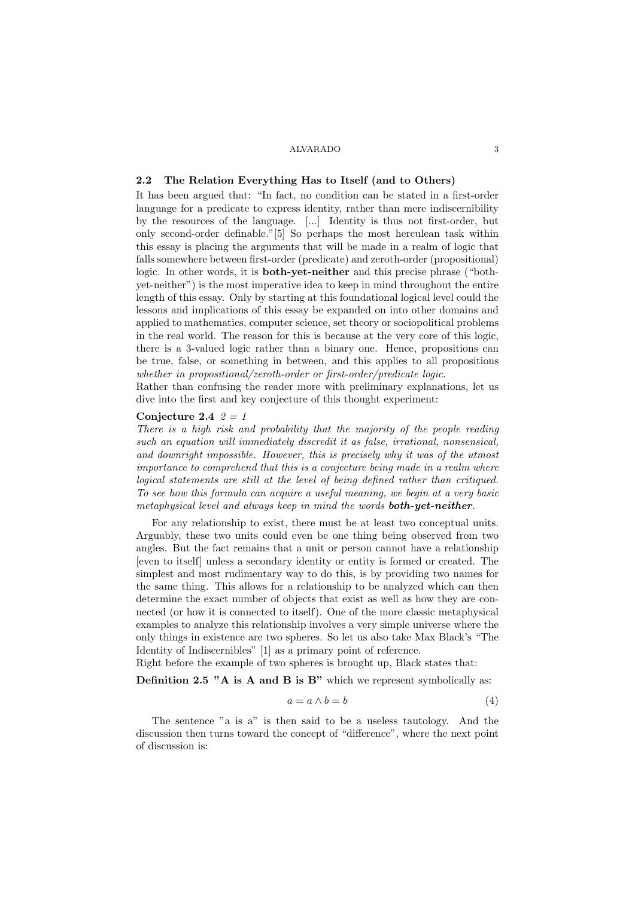# 2.2 The Relation Everything Has to Itself (and to Others)

It has been argued that: "In fact, no condition can be stated in a first-order language for a predicate to express identity, rather than mere indiscernibility by the resources of the language. [...] Identity is thus not first-order, but only second-order definable."[\[5\]](#page-13-1) So perhaps the most herculean task within this essay is placing the arguments that will be made in a realm of logic that falls somewhere between first-order (predicate) and zeroth-order (propositional) logic. In other words, it is both-yet-neither and this precise phrase ("bothyet-neither") is the most imperative idea to keep in mind throughout the entire length of this essay. Only by starting at this foundational logical level could the lessons and implications of this essay be expanded on into other domains and applied to mathematics, computer science, set theory or sociopolitical problems in the real world. The reason for this is because at the very core of this logic, there is a 3-valued logic rather than a binary one. Hence, propositions can be true, false, or something in between, and this applies to all propositions whether in propositional/zeroth-order or first-order/predicate logic.

Rather than confusing the reader more with preliminary explanations, let us dive into the first and key conjecture of this thought experiment:

### Conjecture 2.4  $2 = 1$

There is a high risk and probability that the majority of the people reading such an equation will immediately discredit it as false, irrational, nonsensical, and downright impossible. However, this is precisely why it was of the utmost importance to comprehend that this is a conjecture being made in a realm where logical statements are still at the level of being defined rather than critiqued. To see how this formula can acquire a useful meaning, we begin at a very basic metaphysical level and always keep in mind the words **both-yet-neither**.

For any relationship to exist, there must be at least two conceptual units. Arguably, these two units could even be one thing being observed from two angles. But the fact remains that a unit or person cannot have a relationship [even to itself] unless a secondary identity or entity is formed or created. The simplest and most rudimentary way to do this, is by providing two names for the same thing. This allows for a relationship to be analyzed which can then determine the exact number of objects that exist as well as how they are connected (or how it is connected to itself). One of the more classic metaphysical examples to analyze this relationship involves a very simple universe where the only things in existence are two spheres. So let us also take Max Black's "The Identity of Indiscernibles" [\[1\]](#page-13-2) as a primary point of reference.

Right before the example of two spheres is brought up, Black states that:

Definition 2.5 "A is A and B is B" which we represent symbolically as:

$$
a = a \wedge b = b \tag{4}
$$

The sentence "a is a" is then said to be a useless tautology. And the discussion then turns toward the concept of "difference", where the next point of discussion is: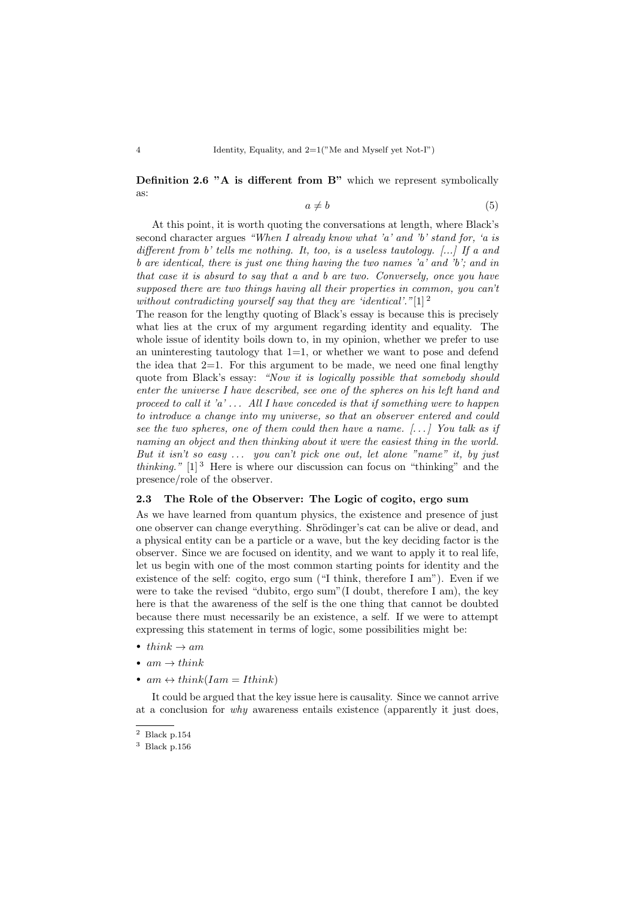Definition 2.6 "A is different from B" which we represent symbolically as:

$$
a \neq b \tag{5}
$$

At this point, it is worth quoting the conversations at length, where Black's second character argues "When I already know what 'a' and 'b' stand for, 'a is different from b' tells me nothing. It, too, is a useless tautology. [...] If a and b are identical, there is just one thing having the two names 'a' and 'b'; and in that case it is absurd to say that a and b are two. Conversely, once you have supposed there are two things having all their properties in common, you can't without contradicting yourself say that they are 'identical'." $[1]$ <sup>[2](#page-3-0)</sup>

The reason for the lengthy quoting of Black's essay is because this is precisely what lies at the crux of my argument regarding identity and equality. The whole issue of identity boils down to, in my opinion, whether we prefer to use an uninteresting tautology that  $1=1$ , or whether we want to pose and defend the idea that  $2=1$ . For this argument to be made, we need one final lengthy quote from Black's essay: "Now it is logically possible that somebody should enter the universe I have described, see one of the spheres on his left hand and proceed to call it  $a' \ldots$  All I have conceded is that if something were to happen to introduce a change into my universe, so that an observer entered and could see the two spheres, one of them could then have a name.  $[...]$  You talk as if naming an object and then thinking about it were the easiest thing in the world. But it isn't so easy  $\ldots$  you can't pick one out, let alone "name" it, by just *thinking.*"  $[1]^3$  $[1]^3$  $[1]^3$  Here is where our discussion can focus on "thinking" and the presence/role of the observer.

#### 2.3 The Role of the Observer: The Logic of cogito, ergo sum

As we have learned from quantum physics, the existence and presence of just one observer can change everything. Shrödinger's cat can be alive or dead, and a physical entity can be a particle or a wave, but the key deciding factor is the observer. Since we are focused on identity, and we want to apply it to real life, let us begin with one of the most common starting points for identity and the existence of the self: cogito, ergo sum ("I think, therefore I am"). Even if we were to take the revised "dubito, ergo sum"(I doubt, therefore I am), the key here is that the awareness of the self is the one thing that cannot be doubted because there must necessarily be an existence, a self. If we were to attempt expressing this statement in terms of logic, some possibilities might be:

- think  $\rightarrow$  am
- $am \rightarrow think$
- $am \leftrightarrow think(Iam = Ithink)$

It could be argued that the key issue here is causality. Since we cannot arrive at a conclusion for why awareness entails existence (apparently it just does,

<span id="page-3-0"></span> $^2\,$  Black p.154  $\,$ 

<span id="page-3-1"></span><sup>3</sup> Black p.156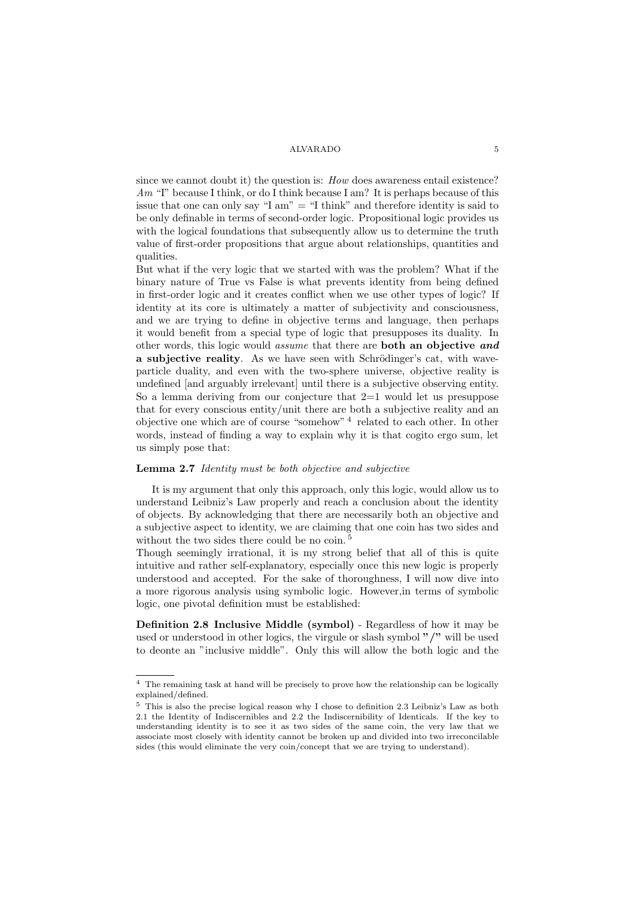since we cannot doubt it) the question is: How does awareness entail existence?  $Am$  "I" because I think, or do I think because I am? It is perhaps because of this issue that one can only say "I am"  $=$  "I think" and therefore identity is said to be only definable in terms of second-order logic. Propositional logic provides us with the logical foundations that subsequently allow us to determine the truth value of first-order propositions that argue about relationships, quantities and qualities.

But what if the very logic that we started with was the problem? What if the binary nature of True vs False is what prevents identity from being defined in first-order logic and it creates conflict when we use other types of logic? If identity at its core is ultimately a matter of subjectivity and consciousness, and we are trying to define in objective terms and language, then perhaps it would benefit from a special type of logic that presupposes its duality. In other words, this logic would assume that there are both an objective and a subjective reality. As we have seen with Schrödinger's cat, with waveparticle duality, and even with the two-sphere universe, objective reality is undefined [and arguably irrelevant] until there is a subjective observing entity. So a lemma deriving from our conjecture that 2=1 would let us presuppose that for every conscious entity/unit there are both a subjective reality and an objective one which are of course "somehow"<sup>[4](#page-4-0)</sup> related to each other. In other words, instead of finding a way to explain why it is that cogito ergo sum, let us simply pose that:

#### Lemma 2.7 Identity must be both objective and subjective

It is my argument that only this approach, only this logic, would allow us to understand Leibniz's Law properly and reach a conclusion about the identity of objects. By acknowledging that there are necessarily both an objective and a subjective aspect to identity, we are claiming that one coin has two sides and without the two sides there could be no coin.<sup>[5](#page-4-1)</sup>

Though seemingly irrational, it is my strong belief that all of this is quite intuitive and rather self-explanatory, especially once this new logic is properly understood and accepted. For the sake of thoroughness, I will now dive into a more rigorous analysis using symbolic logic. However,in terms of symbolic logic, one pivotal definition must be established:

<span id="page-4-2"></span>Definition 2.8 Inclusive Middle (symbol) - Regardless of how it may be used or understood in other logics, the virgule or slash symbol "/" will be used to deonte an "inclusive middle". Only this will allow the both logic and the

<span id="page-4-0"></span> $^4\,$  The remaining task at hand will be precisely to prove how the relationship can be logically explained/defined.

<span id="page-4-1"></span><sup>5</sup> This is also the precise logical reason why I chose to definition [2.3](#page-1-2) Leibniz's Law as both [2.1](#page-1-0) the Identity of Indiscernibles and [2.2](#page-1-1) the Indiscernibility of Identicals. If the key to understanding identity is to see it as two sides of the same coin, the very law that we associate most closely with identity cannot be broken up and divided into two irreconcilable sides (this would eliminate the very coin/concept that we are trying to understand).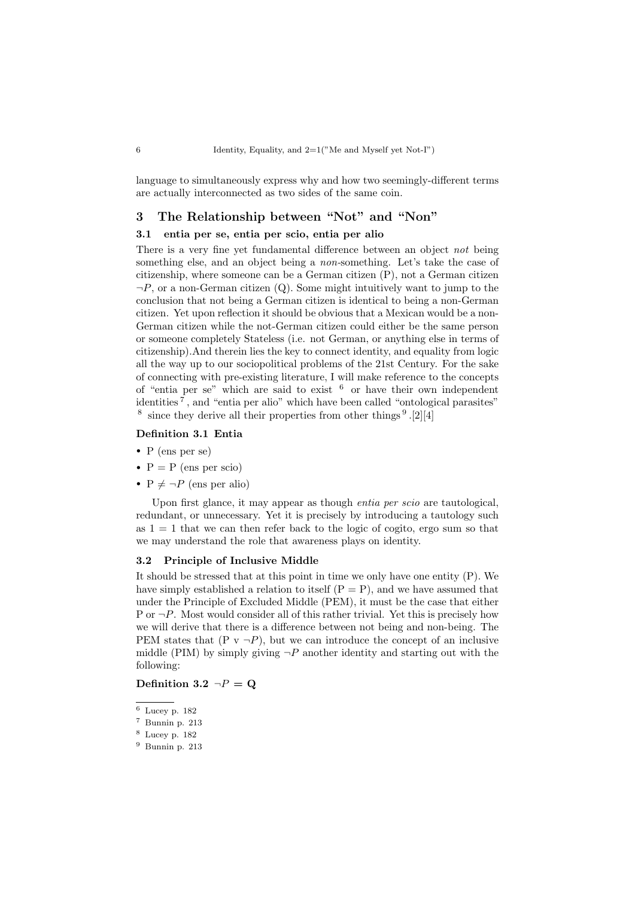language to simultaneously express why and how two seemingly-different terms are actually interconnected as two sides of the same coin.

# 3 The Relationship between "Not" and "Non"

# 3.1 entia per se, entia per scio, entia per alio

There is a very fine yet fundamental difference between an object not being something else, and an object being a non-something. Let's take the case of citizenship, where someone can be a German citizen (P), not a German citizen  $\neg P$ , or a non-German citizen (Q). Some might intuitively want to jump to the conclusion that not being a German citizen is identical to being a non-German citizen. Yet upon reflection it should be obvious that a Mexican would be a non-German citizen while the not-German citizen could either be the same person or someone completely Stateless (i.e. not German, or anything else in terms of citizenship).And therein lies the key to connect identity, and equality from logic all the way up to our sociopolitical problems of the 21st Century. For the sake of connecting with pre-existing literature, I will make reference to the concepts of "entia per se" which are said to exist  $6$  or have their own independent identities [7](#page-5-1) , and "entia per alio" which have been called "ontological parasites" <sup>[8](#page-5-2)</sup> since they derive all their properties from other things  $9$ .[\[2\]](#page-13-3)[\[4\]](#page-13-4)

### Definition 3.1 Entia

- P (ens per se)
- $P = P$  (ens per scio)
- $P \neq \neg P$  (ens per alio)

Upon first glance, it may appear as though entia per scio are tautological, redundant, or unnecessary. Yet it is precisely by introducing a tautology such as  $1 = 1$  that we can then refer back to the logic of cogito, ergo sum so that we may understand the role that awareness plays on identity.

#### 3.2 Principle of Inclusive Middle

It should be stressed that at this point in time we only have one entity (P). We have simply established a relation to itself  $(P = P)$ , and we have assumed that under the Principle of Excluded Middle (PEM), it must be the case that either P or  $\neg P$ . Most would consider all of this rather trivial. Yet this is precisely how we will derive that there is a difference between not being and non-being. The PEM states that  $(P \vee \neg P)$ , but we can introduce the concept of an inclusive middle (PIM) by simply giving  $\neg P$  another identity and starting out with the following:

# Definition 3.2  $\neg P = Q$

<span id="page-5-1"></span><sup>7</sup> Bunnin p. 213

<span id="page-5-0"></span><sup>6</sup> Lucey p. 182

<span id="page-5-2"></span><sup>8</sup> Lucey p. 182

<span id="page-5-3"></span><sup>9</sup> Bunnin p. 213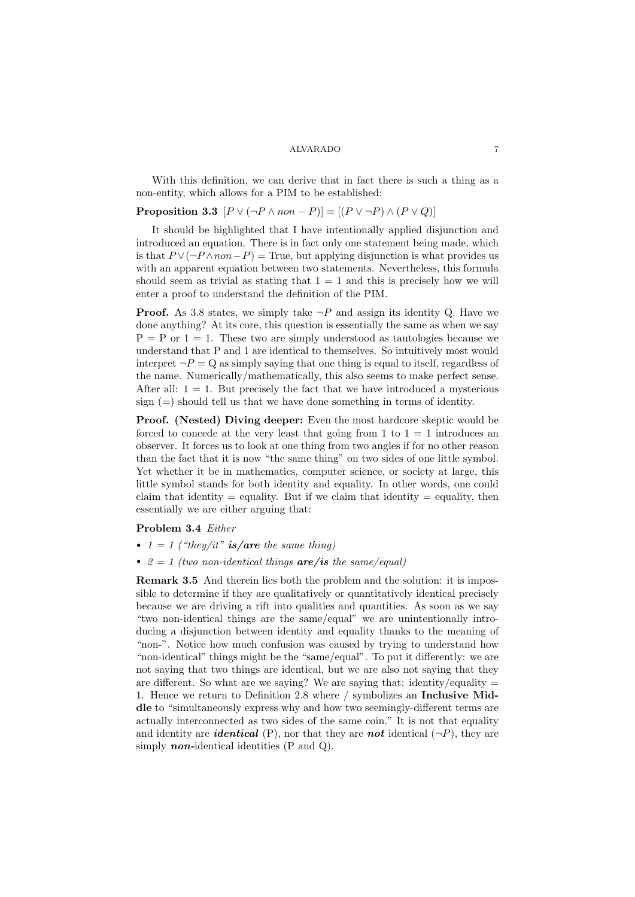With this definition, we can derive that in fact there is such a thing as a non-entity, which allows for a PIM to be established:

# **Proposition 3.3**  $[P \vee (\neg P \wedge non - P)] = [(P \vee \neg P) \wedge (P \vee Q)]$

It should be highlighted that I have intentionally applied disjunction and introduced an equation. There is in fact only one statement being made, which is that  $P \vee (\neg P \wedge non-P) = \text{True}$ , but applying disjunction is what provides us with an apparent equation between two statements. Nevertheless, this formula should seem as trivial as stating that  $1 = 1$  and this is precisely how we will enter a proof to understand the definition of the PIM.

**Proof.** As [3.8](#page-8-0) states, we simply take  $\neg P$  and assign its identity Q. Have we done anything? At its core, this question is essentially the same as when we say  $P = P$  or  $1 = 1$ . These two are simply understood as tautologies because we understand that P and 1 are identical to themselves. So intuitively most would interpret  $\neg P = Q$  as simply saying that one thing is equal to itself, regardless of the name. Numerically/mathematically, this also seems to make perfect sense. After all:  $1 = 1$ . But precisely the fact that we have introduced a mysterious sign  $(=)$  should tell us that we have done something in terms of identity.

Proof. (Nested) Diving deeper: Even the most hardcore skeptic would be forced to concede at the very least that going from 1 to  $1 = 1$  introduces an observer. It forces us to look at one thing from two angles if for no other reason than the fact that it is now "the same thing" on two sides of one little symbol. Yet whether it be in mathematics, computer science, or society at large, this little symbol stands for both identity and equality. In other words, one could claim that identity  $=$  equality. But if we claim that identity  $=$  equality, then essentially we are either arguing that:

### Problem 3.4 Either

- $1 = 1$  ("they/it" is/are the same thing)
- $2 = 1$  (two non-identical things **are**/is the same/equal)

Remark 3.5 And therein lies both the problem and the solution: it is impossible to determine if they are qualitatively or quantitatively identical precisely because we are driving a rift into qualities and quantities. As soon as we say "two non-identical things are the same/equal" we are unintentionally introducing a disjunction between identity and equality thanks to the meaning of "non-". Notice how much confusion was caused by trying to understand how "non-identical" things might be the "same/equal". To put it differently: we are not saying that two things are identical, but we are also not saying that they are different. So what are we saying? We are saying that: identity/equality  $=$ 1. Hence we return to Definition [2.8](#page-4-2) where / symbolizes an Inclusive Middle to "simultaneously express why and how two seemingly-different terms are actually interconnected as two sides of the same coin." It is not that equality and identity are *identical* (P), nor that they are **not** identical  $(\neg P)$ , they are simply **non-identical identities**  $(P \text{ and } Q)$ .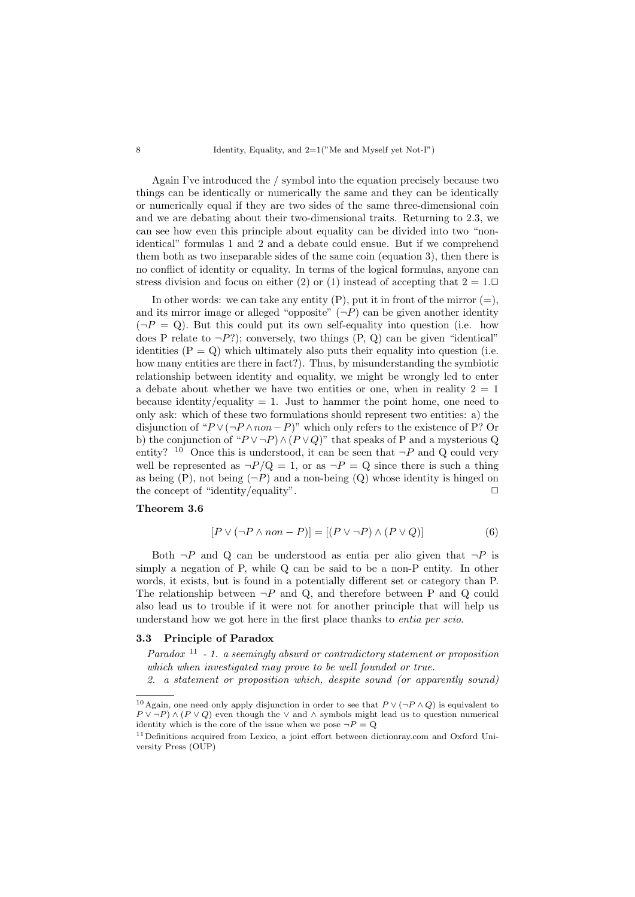8 Identity, Equality, and  $2=1$ <sup>"</sup>Me and Myself yet Not-I")

Again I've introduced the / symbol into the equation precisely because two things can be identically or numerically the same and they can be identically or numerically equal if they are two sides of the same three-dimensional coin and we are debating about their two-dimensional traits. Returning to [2.3,](#page-1-2) we can see how even this principle about equality can be divided into two "nonidentical" formulas [1](#page-1-3) and [2](#page-1-4) and a debate could ensue. But if we comprehend them both as two inseparable sides of the same coin (equation [3\)](#page-1-5), then there is no conflict of identity or equality. In terms of the logical formulas, anyone can stress division and focus on either ([2](#page-1-4)) or (1) instead of accepting that  $2 = 1$ .

In other words: we can take any entity  $(P)$ , put it in front of the mirror  $(=)$ , and its mirror image or alleged "opposite"  $(\neg P)$  can be given another identity  $(\neg P = Q)$ . But this could put its own self-equality into question (i.e. how does P relate to  $\neg P$ ?); conversely, two things  $(P, Q)$  can be given "identical" identities  $(P = Q)$  which ultimately also puts their equality into question (i.e. how many entities are there in fact?). Thus, by misunderstanding the symbiotic relationship between identity and equality, we might be wrongly led to enter a debate about whether we have two entities or one, when in reality  $2 = 1$ because identity/equality  $= 1$ . Just to hammer the point home, one need to only ask: which of these two formulations should represent two entities: a) the disjunction of " $P \vee (\neg P \wedge non-P)$ " which only refers to the existence of P? Or b) the conjunction of " $P \vee \neg P$ )  $\wedge (P \vee Q)$ " that speaks of P and a mysterious Q entity? <sup>[10](#page-7-0)</sup> Once this is understood, it can be seen that  $\neg P$  and Q could very well be represented as  $\neg P/Q = 1$ , or as  $\neg P = Q$  since there is such a thing as being  $(P)$ , not being  $(\neg P)$  and a non-being  $(Q)$  whose identity is hinged on the concept of "identity/equality".  $\Box$ 

# Theorem 3.6

$$
[P \lor (\neg P \land non - P)] = [(P \lor \neg P) \land (P \lor Q)] \tag{6}
$$

Both  $\neg P$  and Q can be understood as entia per alio given that  $\neg P$  is simply a negation of P, while Q can be said to be a non-P entity. In other words, it exists, but is found in a potentially different set or category than P. The relationship between  $\neg P$  and Q, and therefore between P and Q could also lead us to trouble if it were not for another principle that will help us understand how we got here in the first place thanks to entia per scio.

### 3.3 Principle of Paradox

Paradox  $11 - 1$  $11 - 1$ . a seemingly absurd or contradictory statement or proposition which when investigated may prove to be well founded or true.

2. a statement or proposition which, despite sound (or apparently sound)

<span id="page-7-0"></span><sup>&</sup>lt;sup>10</sup>Again, one need only apply disjunction in order to see that  $P \vee (\neg P \wedge Q)$  is equivalent to  $P \vee \neg P$ )  $\wedge (P \vee Q)$  even though the  $\vee$  and  $\wedge$  symbols might lead us to question numerical identity which is the core of the issue when we pose  $\neg P = Q$ 

<span id="page-7-1"></span><sup>&</sup>lt;sup>11</sup> Definitions acquired from Lexico, a joint effort between dictionray.com and Oxford University Press (OUP)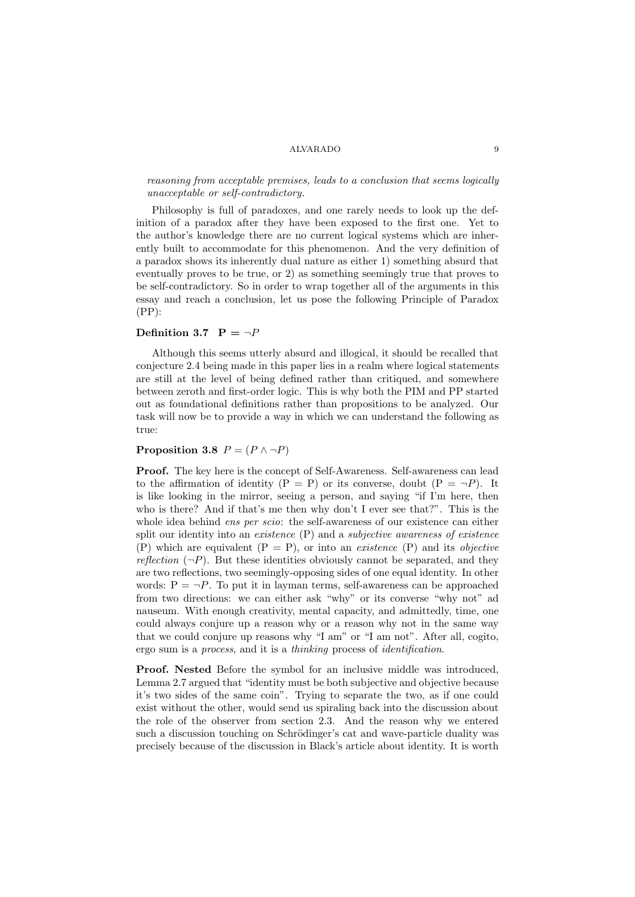reasoning from acceptable premises, leads to a conclusion that seems logically unacceptable or self-contradictory.

Philosophy is full of paradoxes, and one rarely needs to look up the definition of a paradox after they have been exposed to the first one. Yet to the author's knowledge there are no current logical systems which are inherently built to accommodate for this phenomenon. And the very definition of a paradox shows its inherently dual nature as either 1) something absurd that eventually proves to be true, or 2) as something seemingly true that proves to be self-contradictory. So in order to wrap together all of the arguments in this essay and reach a conclusion, let us pose the following Principle of Paradox (PP):

### <span id="page-8-1"></span>Definition 3.7  $P = \neg P$

Although this seems utterly absurd and illogical, it should be recalled that conjecture 2.4 being made in this paper lies in a realm where logical statements are still at the level of being defined rather than critiqued, and somewhere between zeroth and first-order logic. This is why both the PIM and PP started out as foundational definitions rather than propositions to be analyzed. Our task will now be to provide a way in which we can understand the following as true:

## <span id="page-8-0"></span>Proposition 3.8  $P = (P \land \neg P)$

Proof. The key here is the concept of Self-Awareness. Self-awareness can lead to the affirmation of identity  $(P = P)$  or its converse, doubt  $(P = \neg P)$ . It is like looking in the mirror, seeing a person, and saying "if I'm here, then who is there? And if that's me then why don't I ever see that?". This is the whole idea behind *ens per scio*: the self-awareness of our existence can either split our identity into an *existence* (P) and a *subjective awareness of existence* (P) which are equivalent  $(P = P)$ , or into an *existence*  $(P)$  and its *objective* reflection  $(\neg P)$ . But these identities obviously cannot be separated, and they are two reflections, two seemingly-opposing sides of one equal identity. In other words:  $P = \neg P$ . To put it in layman terms, self-awareness can be approached from two directions: we can either ask "why" or its converse "why not" ad nauseum. With enough creativity, mental capacity, and admittedly, time, one could always conjure up a reason why or a reason why not in the same way that we could conjure up reasons why "I am" or "I am not". After all, cogito, ergo sum is a process, and it is a thinking process of identification.

Proof. Nested Before the symbol for an inclusive middle was introduced, Lemma 2.7 argued that "identity must be both subjective and objective because it's two sides of the same coin". Trying to separate the two, as if one could exist without the other, would send us spiraling back into the discussion about the role of the observer from section 2.3. And the reason why we entered such a discussion touching on Schrödinger's cat and wave-particle duality was precisely because of the discussion in Black's article about identity. It is worth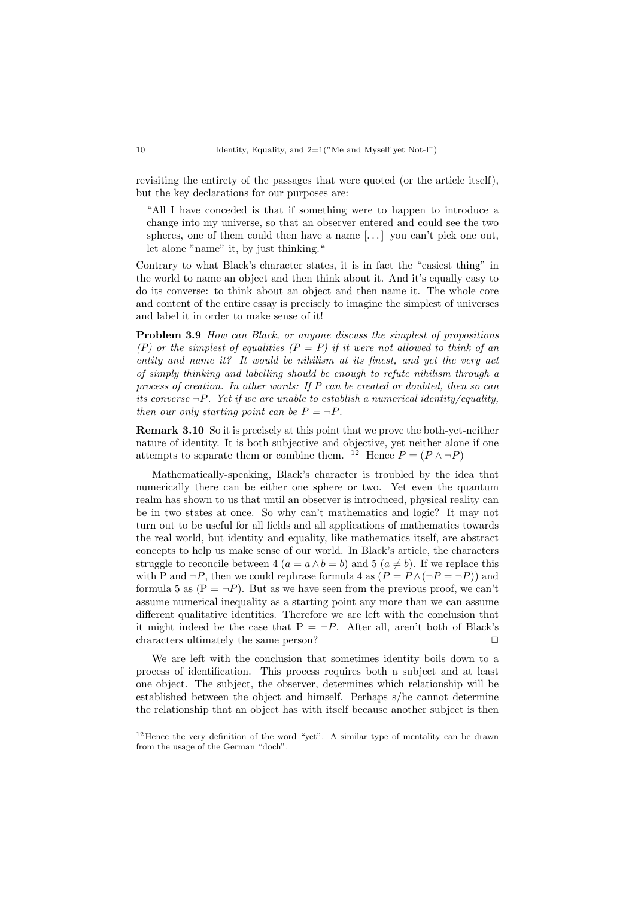revisiting the entirety of the passages that were quoted (or the article itself), but the key declarations for our purposes are:

"All I have conceded is that if something were to happen to introduce a change into my universe, so that an observer entered and could see the two spheres, one of them could then have a name  $[\dots]$  you can't pick one out, let alone "name" it, by just thinking."

Contrary to what Black's character states, it is in fact the "easiest thing" in the world to name an object and then think about it. And it's equally easy to do its converse: to think about an object and then name it. The whole core and content of the entire essay is precisely to imagine the simplest of universes and label it in order to make sense of it!

Problem 3.9 How can Black, or anyone discuss the simplest of propositions (P) or the simplest of equalities  $(P = P)$  if it were not allowed to think of an entity and name it? It would be nihilism at its finest, and yet the very act of simply thinking and labelling should be enough to refute nihilism through a process of creation. In other words: If P can be created or doubted, then so can its converse  $\neg P$ . Yet if we are unable to establish a numerical identity/equality, then our only starting point can be  $P = \neg P$ .

Remark 3.10 So it is precisely at this point that we prove the both-yet-neither nature of identity. It is both subjective and objective, yet neither alone if one attempts to separate them or combine them. <sup>[12](#page-9-0)</sup> Hence  $P = (P \land \neg P)$ 

Mathematically-speaking, Black's character is troubled by the idea that numerically there can be either one sphere or two. Yet even the quantum realm has shown to us that until an observer is introduced, physical reality can be in two states at once. So why can't mathematics and logic? It may not turn out to be useful for all fields and all applications of mathematics towards the real world, but identity and equality, like mathematics itself, are abstract concepts to help us make sense of our world. In Black's article, the characters struggle to reconcile between 4 ( $a = a \wedge b = b$ ) and 5 ( $a \neq b$ ). If we replace this with P and  $\neg P$ , then we could rephrase formula 4 as  $(P = P \land (\neg P = \neg P))$  and formula 5 as  $(P = \neg P)$ . But as we have seen from the previous proof, we can't assume numerical inequality as a starting point any more than we can assume different qualitative identities. Therefore we are left with the conclusion that it might indeed be the case that  $P = \neg P$ . After all, aren't both of Black's characters ultimately the same person?  $\Box$ 

We are left with the conclusion that sometimes identity boils down to a process of identification. This process requires both a subject and at least one object. The subject, the observer, determines which relationship will be established between the object and himself. Perhaps s/he cannot determine the relationship that an object has with itself because another subject is then

<span id="page-9-0"></span><sup>12</sup>Hence the very definition of the word "yet". A similar type of mentality can be drawn from the usage of the German "doch".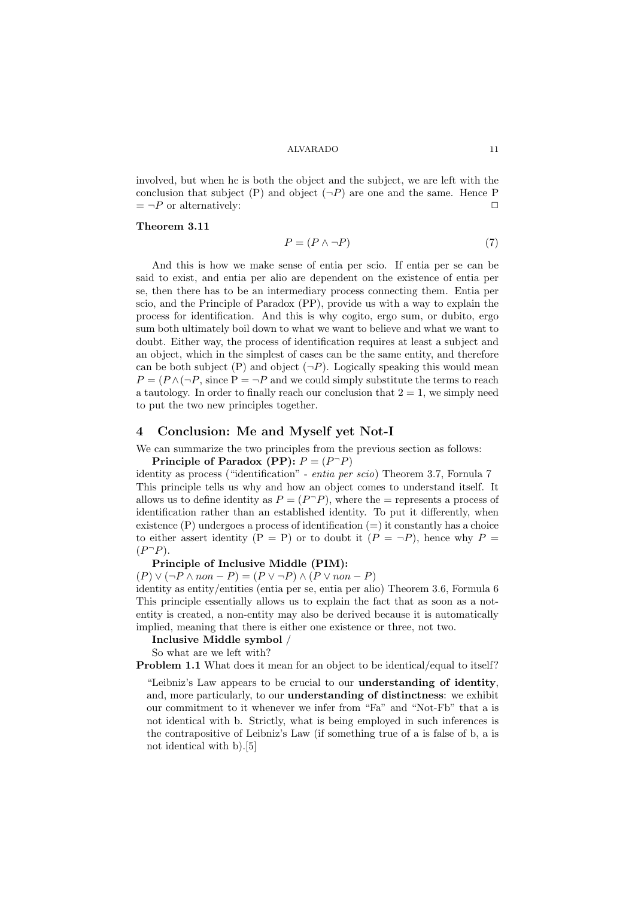involved, but when he is both the object and the subject, we are left with the conclusion that subject  $(P)$  and object  $(\neg P)$  are one and the same. Hence P  $= \neg P$  or alternatively:

#### <span id="page-10-0"></span>Theorem 3.11

$$
P = (P \land \neg P) \tag{7}
$$

And this is how we make sense of entia per scio. If entia per se can be said to exist, and entia per alio are dependent on the existence of entia per se, then there has to be an intermediary process connecting them. Entia per scio, and the Principle of Paradox (PP), provide us with a way to explain the process for identification. And this is why cogito, ergo sum, or dubito, ergo sum both ultimately boil down to what we want to believe and what we want to doubt. Either way, the process of identification requires at least a subject and an object, which in the simplest of cases can be the same entity, and therefore can be both subject (P) and object  $(\neg P)$ . Logically speaking this would mean  $P = (P \wedge (\neg P, \text{ since } P = \neg P \text{ and we could simply substitute the terms to reach})$ a tautology. In order to finally reach our conclusion that  $2 = 1$ , we simply need to put the two new principles together.

## 4 Conclusion: Me and Myself yet Not-I

We can summarize the two principles from the previous section as follows:

Principle of Paradox (PP):  $P = (P \supseteq P)$ 

identity as process ("identification" - entia per scio) Theorem [3.7,](#page-8-1) Fornula [7](#page-10-0) This principle tells us why and how an object comes to understand itself. It allows us to define identity as  $P = (P^-P)$ , where the = represents a process of identification rather than an established identity. To put it differently, when existence (P) undergoes a process of identification (=) it constantly has a choice to either assert identity  $(P = P)$  or to doubt it  $(P = \neg P)$ , hence why  $P =$  $(P^-P)$ .

#### Principle of Inclusive Middle (PIM):

 $(P) \vee (\neg P \wedge non - P) = (P \vee \neg P) \wedge (P \vee non - P)$ 

identity as entity/entities (entia per se, entia per alio) Theorem 3.6, Formula 6 This principle essentially allows us to explain the fact that as soon as a notentity is created, a non-entity may also be derived because it is automatically implied, meaning that there is either one existence or three, not two.

Inclusive Middle symbol /

So what are we left with?

Problem 1.1 What does it mean for an object to be identical/equal to itself?

"Leibniz's Law appears to be crucial to our understanding of identity, and, more particularly, to our understanding of distinctness: we exhibit our commitment to it whenever we infer from "Fa" and "Not-Fb" that a is not identical with b. Strictly, what is being employed in such inferences is the contrapositive of Leibniz's Law (if something true of a is false of b, a is not identical with b).[\[5\]](#page-13-1)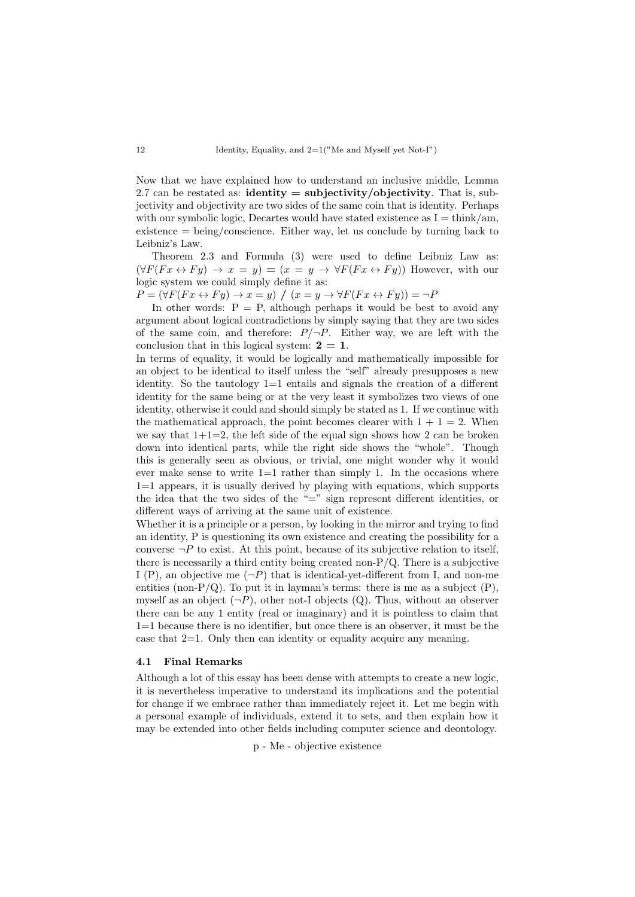Now that we have explained how to understand an inclusive middle, Lemma 2.7 can be restated as: **identity = subjectivity/objectivity**. That is, subjectivity and objectivity are two sides of the same coin that is identity. Perhaps with our symbolic logic, Decartes would have stated existence as  $I = \text{think/am}$ , existence = being/conscience. Either way, let us conclude by turning back to Leibniz's Law.

Theorem 2.3 and Formula (3) were used to define Leibniz Law as:  $(\forall F(Fx \leftrightarrow Fy) \rightarrow x = y) = (x = y \rightarrow \forall F(Fx \leftrightarrow Fy))$  However, with our logic system we could simply define it as:

 $P = (\forall F(Fx \leftrightarrow Fy) \rightarrow x = y) / (x = y \rightarrow \forall F(Fx \leftrightarrow Fy)) = \neg P$ 

In other words:  $P = P$ , although perhaps it would be best to avoid any argument about logical contradictions by simply saying that they are two sides of the same coin, and therefore:  $P/\neg P$ . Either way, we are left with the conclusion that in this logical system:  $2 = 1$ .

In terms of equality, it would be logically and mathematically impossible for an object to be identical to itself unless the "self" already presupposes a new identity. So the tautology 1=1 entails and signals the creation of a different identity for the same being or at the very least it symbolizes two views of one identity, otherwise it could and should simply be stated as 1. If we continue with the mathematical approach, the point becomes clearer with  $1 + 1 = 2$ . When we say that  $1+1=2$ , the left side of the equal sign shows how 2 can be broken down into identical parts, while the right side shows the "whole". Though this is generally seen as obvious, or trivial, one might wonder why it would ever make sense to write  $1=1$  rather than simply 1. In the occasions where 1=1 appears, it is usually derived by playing with equations, which supports the idea that the two sides of the "=" sign represent different identities, or different ways of arriving at the same unit of existence.

Whether it is a principle or a person, by looking in the mirror and trying to find an identity, P is questioning its own existence and creating the possibility for a converse  $\neg P$  to exist. At this point, because of its subjective relation to itself, there is necessarily a third entity being created non- $P/Q$ . There is a subjective I (P), an objective me  $(\neg P)$  that is identical-yet-different from I, and non-me entities (non- $P/Q$ ). To put it in layman's terms: there is me as a subject  $(P)$ , myself as an object  $(\neg P)$ , other not-I objects  $(Q)$ . Thus, without an observer there can be any 1 entity (real or imaginary) and it is pointless to claim that 1=1 because there is no identifier, but once there is an observer, it must be the case that 2=1. Only then can identity or equality acquire any meaning.

## 4.1 Final Remarks

Although a lot of this essay has been dense with attempts to create a new logic, it is nevertheless imperative to understand its implications and the potential for change if we embrace rather than immediately reject it. Let me begin with a personal example of individuals, extend it to sets, and then explain how it may be extended into other fields including computer science and deontology.

p - Me - objective existence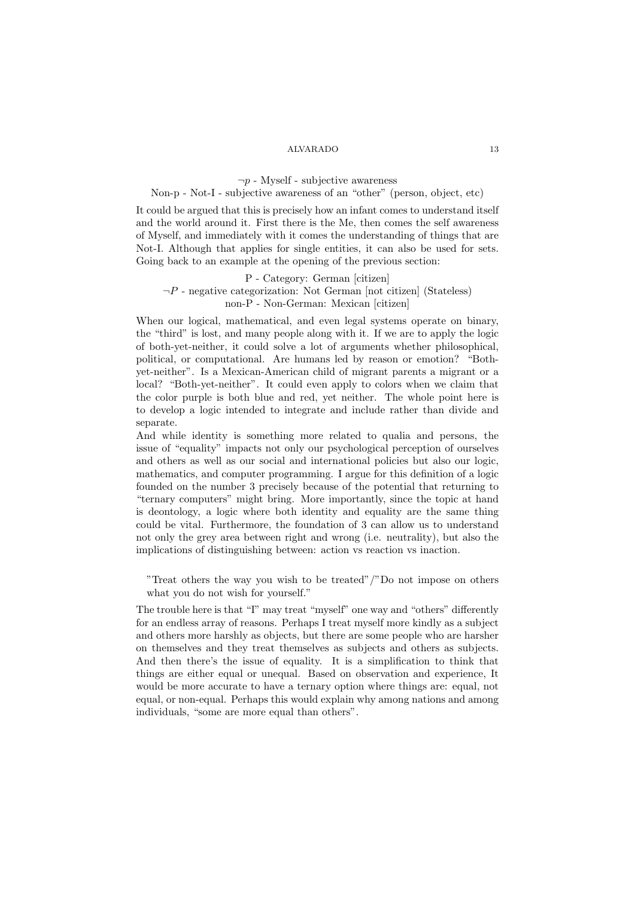## $\neg p$  - Myself - subjective awareness

# Non-p - Not-I - subjective awareness of an "other" (person, object, etc)

It could be argued that this is precisely how an infant comes to understand itself and the world around it. First there is the Me, then comes the self awareness of Myself, and immediately with it comes the understanding of things that are Not-I. Although that applies for single entities, it can also be used for sets. Going back to an example at the opening of the previous section:

# P - Category: German [citizen]  $\neg P$  - negative categorization: Not German [not citizen] (Stateless) non-P - Non-German: Mexican [citizen]

When our logical, mathematical, and even legal systems operate on binary, the "third" is lost, and many people along with it. If we are to apply the logic of both-yet-neither, it could solve a lot of arguments whether philosophical, political, or computational. Are humans led by reason or emotion? "Bothyet-neither". Is a Mexican-American child of migrant parents a migrant or a local? "Both-yet-neither". It could even apply to colors when we claim that the color purple is both blue and red, yet neither. The whole point here is to develop a logic intended to integrate and include rather than divide and separate.

And while identity is something more related to qualia and persons, the issue of "equality" impacts not only our psychological perception of ourselves and others as well as our social and international policies but also our logic, mathematics, and computer programming. I argue for this definition of a logic founded on the number 3 precisely because of the potential that returning to "ternary computers" might bring. More importantly, since the topic at hand is deontology, a logic where both identity and equality are the same thing could be vital. Furthermore, the foundation of 3 can allow us to understand not only the grey area between right and wrong (i.e. neutrality), but also the implications of distinguishing between: action vs reaction vs inaction.

"Treat others the way you wish to be treated"/"Do not impose on others what you do not wish for yourself."

The trouble here is that "I" may treat "myself" one way and "others" differently for an endless array of reasons. Perhaps I treat myself more kindly as a subject and others more harshly as objects, but there are some people who are harsher on themselves and they treat themselves as subjects and others as subjects. And then there's the issue of equality. It is a simplification to think that things are either equal or unequal. Based on observation and experience, It would be more accurate to have a ternary option where things are: equal, not equal, or non-equal. Perhaps this would explain why among nations and among individuals, "some are more equal than others".